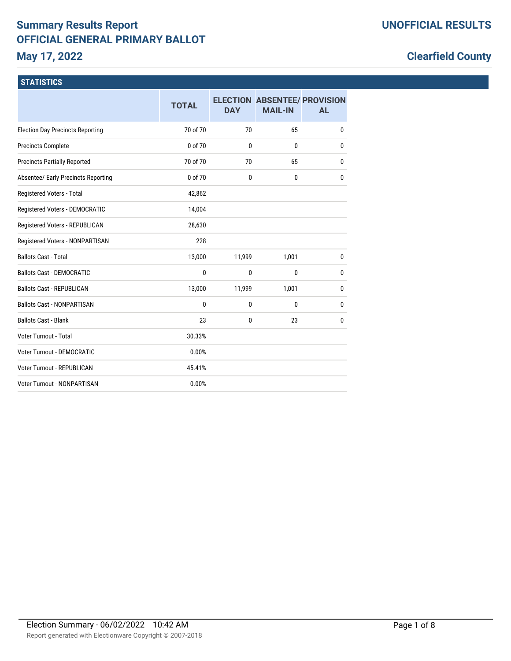# **Summary Results Report OFFICIAL GENERAL PRIMARY BALLOT May 17, 2022**

# **Clearfield County**

### **STATISTICS**

|                                         | <b>TOTAL</b> | <b>DAY</b>   | <b>ELECTION ABSENTEE/ PROVISION</b><br><b>MAIL-IN</b> | <b>AL</b>    |
|-----------------------------------------|--------------|--------------|-------------------------------------------------------|--------------|
| <b>Election Day Precincts Reporting</b> | 70 of 70     | 70           | 65                                                    | 0            |
| <b>Precincts Complete</b>               | 0 of 70      | $\mathbf{0}$ | 0                                                     | 0            |
| <b>Precincts Partially Reported</b>     | 70 of 70     | 70           | 65                                                    | 0            |
| Absentee/ Early Precincts Reporting     | 0 of 70      | 0            | 0                                                     | $\mathbf{0}$ |
| Registered Voters - Total               | 42,862       |              |                                                       |              |
| Registered Voters - DEMOCRATIC          | 14,004       |              |                                                       |              |
| Registered Voters - REPUBLICAN          | 28,630       |              |                                                       |              |
| Registered Voters - NONPARTISAN         | 228          |              |                                                       |              |
| <b>Ballots Cast - Total</b>             | 13,000       | 11,999       | 1,001                                                 | 0            |
| <b>Ballots Cast - DEMOCRATIC</b>        | $\mathbf{0}$ | 0            | 0                                                     | 0            |
| <b>Ballots Cast - REPUBLICAN</b>        | 13,000       | 11,999       | 1,001                                                 | 0            |
| <b>Ballots Cast - NONPARTISAN</b>       | 0            | 0            | 0                                                     | $\mathbf{0}$ |
| <b>Ballots Cast - Blank</b>             | 23           | 0            | 23                                                    | $\mathbf{0}$ |
| Voter Turnout - Total                   | 30.33%       |              |                                                       |              |
| <b>Voter Turnout - DEMOCRATIC</b>       | 0.00%        |              |                                                       |              |
| <b>Voter Turnout - REPUBLICAN</b>       | 45.41%       |              |                                                       |              |
| <b>Voter Turnout - NONPARTISAN</b>      | 0.00%        |              |                                                       |              |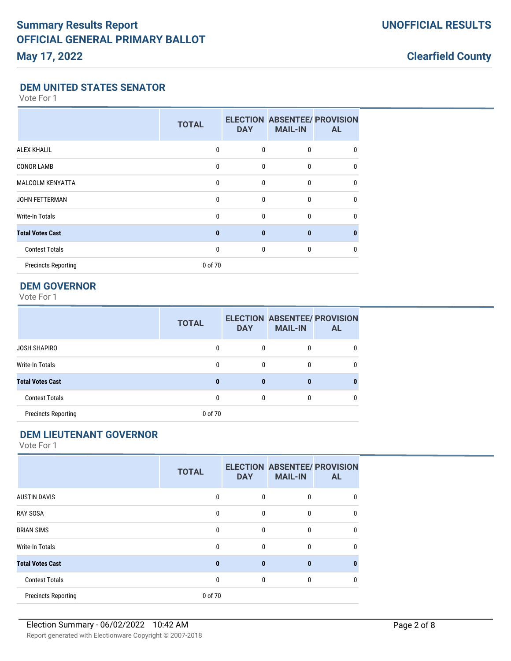#### **DEM UNITED STATES SENATOR**

Vote For 1

|                            | <b>TOTAL</b> | <b>DAY</b>   | <b>ELECTION ABSENTEE/ PROVISION</b><br><b>MAIL-IN</b> | <b>AL</b> |
|----------------------------|--------------|--------------|-------------------------------------------------------|-----------|
| <b>ALEX KHALIL</b>         | $\Omega$     | $\mathbf{0}$ | $\mathbf{0}$                                          | 0         |
| <b>CONOR LAMB</b>          | 0            | $\mathbf{0}$ | $\bf{0}$                                              | 0         |
| <b>MALCOLM KENYATTA</b>    | $\mathbf{0}$ | $\mathbf{0}$ | $\mathbf{0}$                                          | 0         |
| <b>JOHN FETTERMAN</b>      | $\Omega$     | $\Omega$     | $\mathbf{0}$                                          | 0         |
| <b>Write-In Totals</b>     | 0            | $\mathbf{0}$ | $\mathbf{0}$                                          | 0         |
| <b>Total Votes Cast</b>    | $\bf{0}$     | $\bf{0}$     | $\bf{0}$                                              | n         |
| <b>Contest Totals</b>      | $\mathbf{0}$ | $\mathbf{0}$ | $\mathbf{0}$                                          | 0         |
| <b>Precincts Reporting</b> | 0 of 70      |              |                                                       |           |

# **DEM GOVERNOR**

Vote For 1

|                            | <b>TOTAL</b> | <b>DAY</b> | <b>MAIL-IN</b> | <b>ELECTION ABSENTEE/ PROVISION</b><br>AL |
|----------------------------|--------------|------------|----------------|-------------------------------------------|
| JOSH SHAPIRO               | 0            | 0          |                |                                           |
| Write-In Totals            | 0            | 0          |                |                                           |
| <b>Total Votes Cast</b>    | 0            | 0          | 0              |                                           |
| <b>Contest Totals</b>      | 0            | $\Omega$   | $\bf{0}$       | 0                                         |
| <b>Precincts Reporting</b> | 0 of 70      |            |                |                                           |

# **DEM LIEUTENANT GOVERNOR**

|                            | <b>TOTAL</b> | <b>DAY</b>   | <b>MAIL-IN</b> | <b>ELECTION ABSENTEE/ PROVISION</b><br><b>AL</b> |
|----------------------------|--------------|--------------|----------------|--------------------------------------------------|
| <b>AUSTIN DAVIS</b>        | 0            | 0            | 0              |                                                  |
| <b>RAY SOSA</b>            | 0            | $\mathbf{0}$ | 0              | 0                                                |
| <b>BRIAN SIMS</b>          | 0            | $\mathbf 0$  | 0              | 0                                                |
| Write-In Totals            | 0            | $\mathbf{0}$ | $\Omega$       | 0                                                |
| <b>Total Votes Cast</b>    | 0            | $\bf{0}$     | $\mathbf{0}$   |                                                  |
| <b>Contest Totals</b>      | $\mathbf{0}$ | 0            | 0              |                                                  |
| <b>Precincts Reporting</b> | 0 of 70      |              |                |                                                  |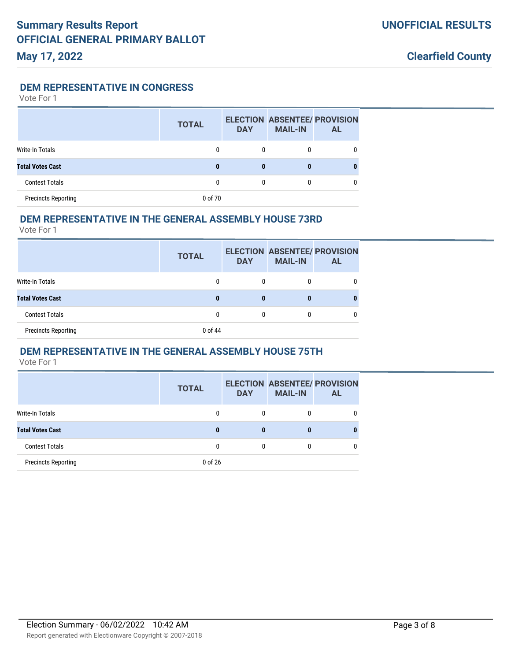**DEM REPRESENTATIVE IN CONGRESS**

Vote For 1

|                            | <b>TOTAL</b> | <b>DAY</b> | <b>ELECTION ABSENTEE/ PROVISION</b><br><b>MAIL-IN</b> | <b>AL</b> |
|----------------------------|--------------|------------|-------------------------------------------------------|-----------|
| Write-In Totals            | 0            | 0          | 0                                                     |           |
| <b>Total Votes Cast</b>    |              | 0          | 0                                                     |           |
| <b>Contest Totals</b>      | 0            | 0          | 0                                                     |           |
| <b>Precincts Reporting</b> | 0 of 70      |            |                                                       |           |

#### **DEM REPRESENTATIVE IN THE GENERAL ASSEMBLY HOUSE 73RD**

Vote For 1

|                            | <b>TOTAL</b> | <b>DAY</b> | <b>ELECTION ABSENTEE/ PROVISION</b><br><b>MAIL-IN</b> | AL. |
|----------------------------|--------------|------------|-------------------------------------------------------|-----|
| Write-In Totals            | 0            | 0          |                                                       |     |
| <b>Total Votes Cast</b>    | 0            |            | 0                                                     |     |
| <b>Contest Totals</b>      |              | 0          | 0                                                     |     |
| <b>Precincts Reporting</b> | 0 of 44      |            |                                                       |     |

#### **DEM REPRESENTATIVE IN THE GENERAL ASSEMBLY HOUSE 75TH**

|                            | <b>TOTAL</b> | <b>DAY</b>   | <b>ELECTION ABSENTEE/ PROVISION</b><br><b>MAIL-IN</b> | <b>AL</b> |
|----------------------------|--------------|--------------|-------------------------------------------------------|-----------|
| Write-In Totals            | 0            | 0            | 0                                                     | 0         |
| <b>Total Votes Cast</b>    | 0            | 0            | 0                                                     | 0         |
| <b>Contest Totals</b>      | 0            | $\mathbf{0}$ | 0                                                     |           |
| <b>Precincts Reporting</b> | 0 of 26      |              |                                                       |           |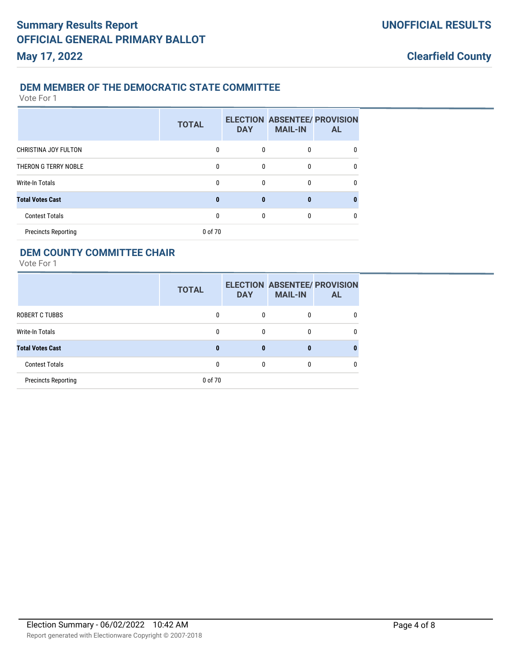#### **DEM MEMBER OF THE DEMOCRATIC STATE COMMITTEE**

Vote For 1

|                            | <b>TOTAL</b> | <b>DAY</b> | <b>ELECTION ABSENTEE/ PROVISION</b><br><b>MAIL-IN</b> | <b>AL</b> |
|----------------------------|--------------|------------|-------------------------------------------------------|-----------|
| CHRISTINA JOY FULTON       | 0            | 0          | 0                                                     | 0         |
| THERON G TERRY NOBLE       | 0            | 0          | 0                                                     | 0         |
| <b>Write-In Totals</b>     | 0            | 0          | 0                                                     | 0         |
| <b>Total Votes Cast</b>    | 0            | 0          | n                                                     | 0         |
| <b>Contest Totals</b>      |              | 0          | 0                                                     | 0         |
| <b>Precincts Reporting</b> | 0 of 70      |            |                                                       |           |

#### **DEM COUNTY COMMITTEE CHAIR**

|                            | <b>TOTAL</b> | <b>DAY</b> | <b>MAIL-IN</b> | <b>ELECTION ABSENTEE/ PROVISION</b><br><b>AL</b> |
|----------------------------|--------------|------------|----------------|--------------------------------------------------|
| <b>ROBERT C TUBBS</b>      |              | 0          |                |                                                  |
| Write-In Totals            |              | 0          | 0              |                                                  |
| <b>Total Votes Cast</b>    | 0            | 0          | 0              |                                                  |
| <b>Contest Totals</b>      |              | 0          | 0              |                                                  |
| <b>Precincts Reporting</b> | 0 of 70      |            |                |                                                  |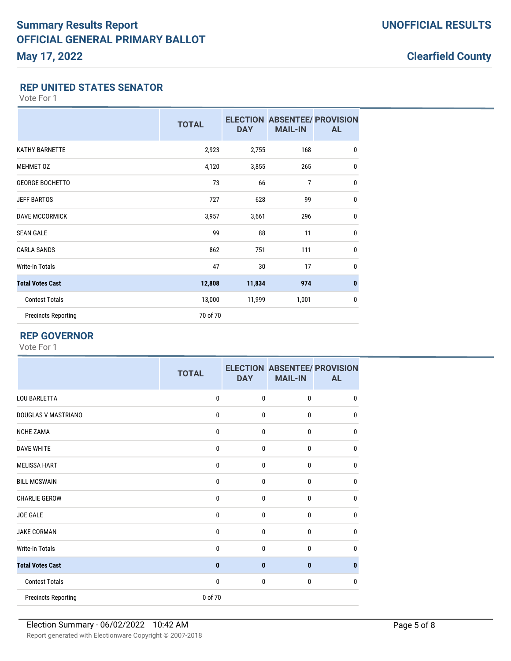#### **REP UNITED STATES SENATOR**

Vote For 1

|                            | <b>TOTAL</b> | <b>DAY</b> | <b>ELECTION ABSENTEE/ PROVISION</b><br><b>MAIL-IN</b> | <b>AL</b>    |
|----------------------------|--------------|------------|-------------------------------------------------------|--------------|
| <b>KATHY BARNETTE</b>      | 2,923        | 2,755      | 168                                                   | $\mathbf{0}$ |
| <b>MEHMET OZ</b>           | 4,120        | 3,855      | 265                                                   | $\mathbf{0}$ |
| <b>GEORGE BOCHETTO</b>     | 73           | 66         | $\overline{7}$                                        | $\mathbf{0}$ |
| <b>JEFF BARTOS</b>         | 727          | 628        | 99                                                    | $\mathbf{0}$ |
| <b>DAVE MCCORMICK</b>      | 3,957        | 3,661      | 296                                                   | $\mathbf{0}$ |
| <b>SEAN GALE</b>           | 99           | 88         | 11                                                    | $\mathbf{0}$ |
| <b>CARLA SANDS</b>         | 862          | 751        | 111                                                   | $\mathbf{0}$ |
| Write-In Totals            | 47           | 30         | 17                                                    | $\mathbf{0}$ |
| <b>Total Votes Cast</b>    | 12,808       | 11,834     | 974                                                   | $\bf{0}$     |
| <b>Contest Totals</b>      | 13,000       | 11,999     | 1,001                                                 | $\mathbf{0}$ |
| <b>Precincts Reporting</b> | 70 of 70     |            |                                                       |              |

## **REP GOVERNOR**

|                            | <b>TOTAL</b> | <b>DAY</b>   | <b>ELECTION ABSENTEE/ PROVISION</b><br><b>MAIL-IN</b> | <b>AL</b> |
|----------------------------|--------------|--------------|-------------------------------------------------------|-----------|
| <b>LOU BARLETTA</b>        | $\mathbf 0$  | $\mathbf{0}$ | 0                                                     | 0         |
| DOUGLAS V MASTRIANO        | $\mathbf 0$  | 0            | 0                                                     | $\Omega$  |
| <b>NCHE ZAMA</b>           | $\mathbf 0$  | $\mathbf 0$  | 0                                                     | $\Omega$  |
| <b>DAVE WHITE</b>          | $\mathbf 0$  | 0            | 0                                                     | $\Omega$  |
| <b>MELISSA HART</b>        | $\mathbf 0$  | $\mathbf 0$  | 0                                                     | 0         |
| <b>BILL MCSWAIN</b>        | $\mathbf 0$  | 0            | 0                                                     | 0         |
| <b>CHARLIE GEROW</b>       | $\mathbf{0}$ | $\mathbf{0}$ | 0                                                     | 0         |
| <b>JOE GALE</b>            | $\mathbf 0$  | $\mathbf{0}$ | 0                                                     | 0         |
| <b>JAKE CORMAN</b>         | $\mathbf{0}$ | $\mathbf{0}$ | 0                                                     | 0         |
| <b>Write-In Totals</b>     | $\mathbf 0$  | 0            | 0                                                     | 0         |
| <b>Total Votes Cast</b>    | $\mathbf{0}$ | $\bf{0}$     | 0                                                     |           |
| <b>Contest Totals</b>      | $\mathbf 0$  | $\mathbf{0}$ | 0                                                     | 0         |
| <b>Precincts Reporting</b> | 0 of 70      |              |                                                       |           |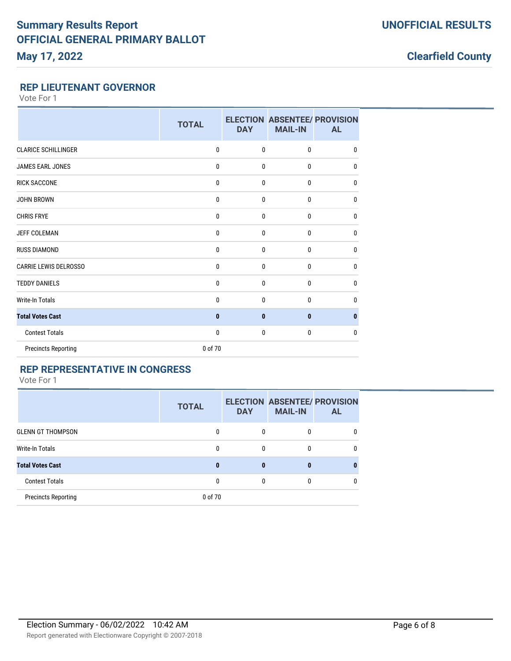#### **REP LIEUTENANT GOVERNOR**

Vote For 1

|                              | <b>TOTAL</b> | <b>DAY</b>   | <b>ELECTION ABSENTEE/ PROVISION</b><br><b>MAIL-IN</b> | <b>AL</b>    |
|------------------------------|--------------|--------------|-------------------------------------------------------|--------------|
| <b>CLARICE SCHILLINGER</b>   | 0            | $\mathbf 0$  | $\mathbf 0$                                           | $\mathbf{0}$ |
| <b>JAMES EARL JONES</b>      | 0            | 0            | $\mathbf 0$                                           | 0            |
| <b>RICK SACCONE</b>          | 0            | $\mathbf{0}$ | $\mathbf 0$                                           | $\mathbf{0}$ |
| <b>JOHN BROWN</b>            | 0            | $\mathbf 0$  | $\mathbf 0$                                           | $\mathbf{0}$ |
| <b>CHRIS FRYE</b>            | 0            | $\mathbf{0}$ | $\mathbf{0}$                                          | $\mathbf{0}$ |
| <b>JEFF COLEMAN</b>          | 0            | $\mathbf{0}$ | $\mathbf{0}$                                          | $\mathbf{0}$ |
| <b>RUSS DIAMOND</b>          | 0            | $\mathbf 0$  | $\mathbf 0$                                           | $\mathbf{0}$ |
| <b>CARRIE LEWIS DELROSSO</b> | 0            | $\mathbf 0$  | $\mathbf 0$                                           | $\mathbf{0}$ |
| <b>TEDDY DANIELS</b>         | 0            | $\mathbf{0}$ | $\mathbf{0}$                                          | $\mathbf{0}$ |
| <b>Write-In Totals</b>       | 0            | $\mathbf{0}$ | $\bf{0}$                                              | $\mathbf{0}$ |
| <b>Total Votes Cast</b>      | $\bf{0}$     | $\mathbf{0}$ | $\mathbf{0}$                                          | $\bf{0}$     |
| <b>Contest Totals</b>        | 0            | $\mathbf 0$  | $\mathbf 0$                                           | $\mathbf{0}$ |
| <b>Precincts Reporting</b>   | 0 of 70      |              |                                                       |              |

# **REP REPRESENTATIVE IN CONGRESS**

|                            | <b>TOTAL</b> | <b>DAY</b> | <b>ELECTION ABSENTEE/ PROVISION</b><br><b>MAIL-IN</b> | <b>AL</b> |
|----------------------------|--------------|------------|-------------------------------------------------------|-----------|
| <b>GLENN GT THOMPSON</b>   | 0            | 0          | $\mathbf{0}$                                          | 0         |
| Write-In Totals            | 0            | $\Omega$   | 0                                                     | 0         |
| <b>Total Votes Cast</b>    | 0            | 0          | 0                                                     |           |
| <b>Contest Totals</b>      | ŋ            | $\Omega$   | $\mathbf{0}$                                          | 0         |
| <b>Precincts Reporting</b> | 0 of 70      |            |                                                       |           |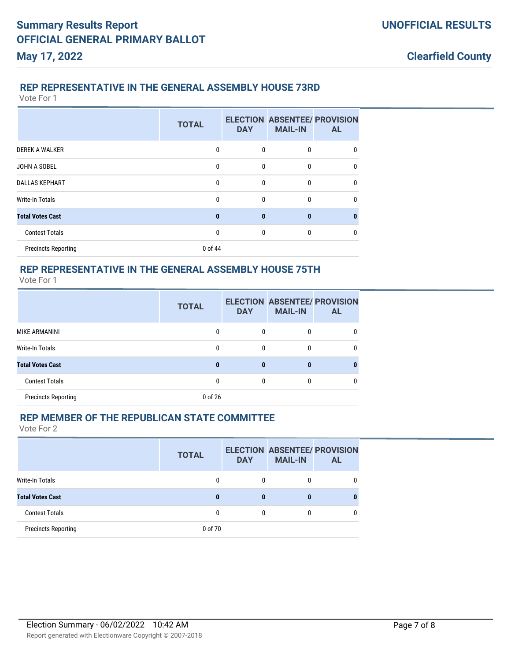#### **REP REPRESENTATIVE IN THE GENERAL ASSEMBLY HOUSE 73RD**

Vote For 1

|                            | <b>TOTAL</b> | <b>DAY</b>   | <b>ELECTION ABSENTEE/ PROVISION</b><br><b>MAIL-IN</b> | <b>AL</b>    |
|----------------------------|--------------|--------------|-------------------------------------------------------|--------------|
| <b>DEREK A WALKER</b>      | 0            | 0            | 0                                                     | 0            |
| JOHN A SOBEL               | 0            | $\mathbf{0}$ | 0                                                     | 0            |
| <b>DALLAS KEPHART</b>      | 0            | 0            | 0                                                     | $\mathbf{0}$ |
| <b>Write-In Totals</b>     | 0            | 0            | 0                                                     | 0            |
| <b>Total Votes Cast</b>    | $\bf{0}$     | $\bf{0}$     | $\bf{0}$                                              | 0            |
| <b>Contest Totals</b>      | 0            | $\mathbf 0$  | 0                                                     | 0            |
| <b>Precincts Reporting</b> | 0 of 44      |              |                                                       |              |

# **REP REPRESENTATIVE IN THE GENERAL ASSEMBLY HOUSE 75TH**

Vote For 1

|                            | <b>TOTAL</b> | <b>DAY</b> | <b>ELECTION ABSENTEE/ PROVISION</b><br><b>MAIL-IN</b> | <b>AL</b> |
|----------------------------|--------------|------------|-------------------------------------------------------|-----------|
| MIKE ARMANINI              | 0            | 0          | 0                                                     |           |
| Write-In Totals            | 0            | $\Omega$   | 0                                                     |           |
| <b>Total Votes Cast</b>    | n            | $\bf{0}$   | 0                                                     |           |
| <b>Contest Totals</b>      | 0            |            | 0                                                     |           |
| <b>Precincts Reporting</b> | 0 of 26      |            |                                                       |           |

#### **REP MEMBER OF THE REPUBLICAN STATE COMMITTEE**

|                            | <b>TOTAL</b> | <b>DAY</b> | <b>MAIL-IN</b> | <b>ELECTION ABSENTEE/ PROVISION</b><br><b>AL</b> |
|----------------------------|--------------|------------|----------------|--------------------------------------------------|
| Write-In Totals            |              | 0          | 0              |                                                  |
| <b>Total Votes Cast</b>    | 0            | 0          | 0              | 0                                                |
| <b>Contest Totals</b>      | 0            | 0          | 0              |                                                  |
| <b>Precincts Reporting</b> | 0 of 70      |            |                |                                                  |